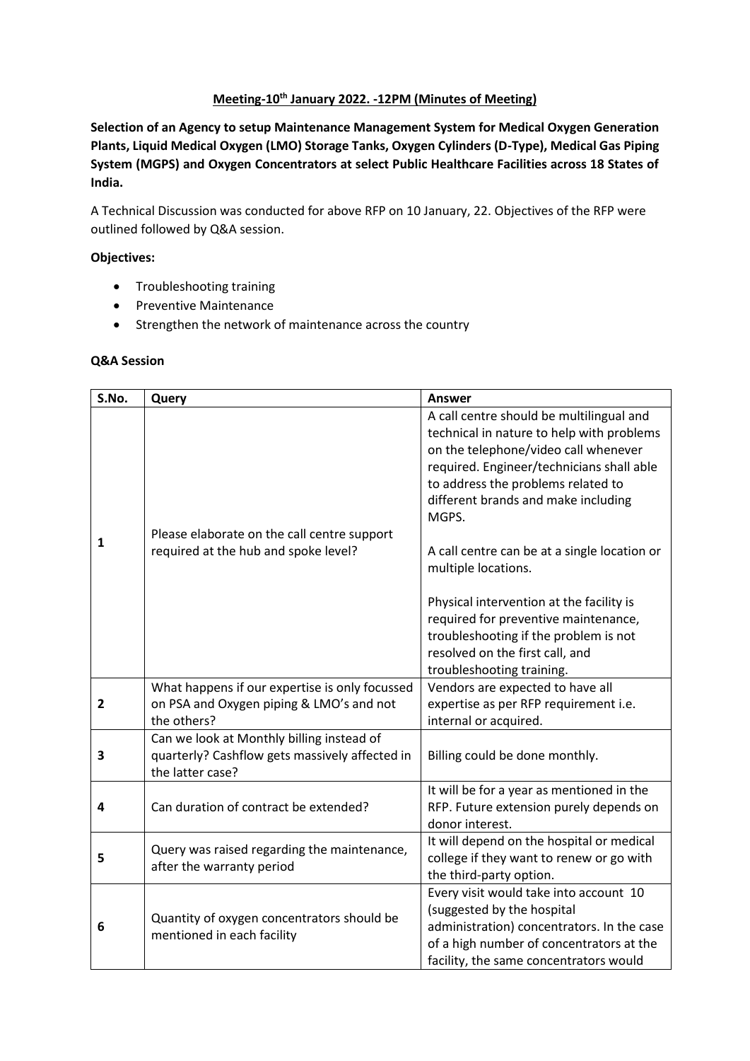## **Meeting-10th January 2022. -12PM (Minutes of Meeting)**

**Selection of an Agency to setup Maintenance Management System for Medical Oxygen Generation Plants, Liquid Medical Oxygen (LMO) Storage Tanks, Oxygen Cylinders (D-Type), Medical Gas Piping System (MGPS) and Oxygen Concentrators at select Public Healthcare Facilities across 18 States of India.**

A Technical Discussion was conducted for above RFP on 10 January, 22. Objectives of the RFP were outlined followed by Q&A session.

## **Objectives:**

- Troubleshooting training
- Preventive Maintenance
- Strengthen the network of maintenance across the country

## **Q&A Session**

| S.No.          | Query                                                                                                           | <b>Answer</b>                                                                                                                                                                                                                                                    |
|----------------|-----------------------------------------------------------------------------------------------------------------|------------------------------------------------------------------------------------------------------------------------------------------------------------------------------------------------------------------------------------------------------------------|
|                | Please elaborate on the call centre support                                                                     | A call centre should be multilingual and<br>technical in nature to help with problems<br>on the telephone/video call whenever<br>required. Engineer/technicians shall able<br>to address the problems related to<br>different brands and make including<br>MGPS. |
| $\mathbf{1}$   | required at the hub and spoke level?                                                                            | A call centre can be at a single location or<br>multiple locations.                                                                                                                                                                                              |
|                |                                                                                                                 | Physical intervention at the facility is<br>required for preventive maintenance,<br>troubleshooting if the problem is not<br>resolved on the first call, and<br>troubleshooting training.                                                                        |
| $\overline{2}$ | What happens if our expertise is only focussed<br>on PSA and Oxygen piping & LMO's and not<br>the others?       | Vendors are expected to have all<br>expertise as per RFP requirement i.e.<br>internal or acquired.                                                                                                                                                               |
| 3              | Can we look at Monthly billing instead of<br>quarterly? Cashflow gets massively affected in<br>the latter case? | Billing could be done monthly.                                                                                                                                                                                                                                   |
| 4              | Can duration of contract be extended?                                                                           | It will be for a year as mentioned in the<br>RFP. Future extension purely depends on<br>donor interest.                                                                                                                                                          |
| 5              | Query was raised regarding the maintenance,<br>after the warranty period                                        | It will depend on the hospital or medical<br>college if they want to renew or go with<br>the third-party option.                                                                                                                                                 |
| 6              | Quantity of oxygen concentrators should be<br>mentioned in each facility                                        | Every visit would take into account 10<br>(suggested by the hospital<br>administration) concentrators. In the case<br>of a high number of concentrators at the<br>facility, the same concentrators would                                                         |